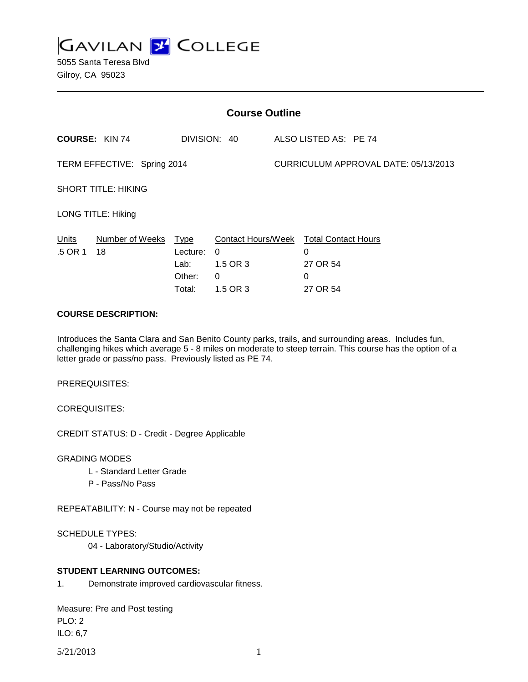**GAVILAN J' COLLEGE** 

5055 Santa Teresa Blvd Gilroy, CA 95023

| <b>Course Outline</b>       |                                       |                                      |                                                             |                                      |                                                              |  |
|-----------------------------|---------------------------------------|--------------------------------------|-------------------------------------------------------------|--------------------------------------|--------------------------------------------------------------|--|
|                             | <b>COURSE: KIN 74</b><br>DIVISION: 40 |                                      | ALSO LISTED AS: PE 74                                       |                                      |                                                              |  |
| TERM EFFECTIVE: Spring 2014 |                                       |                                      |                                                             | CURRICULUM APPROVAL DATE: 05/13/2013 |                                                              |  |
| <b>SHORT TITLE: HIKING</b>  |                                       |                                      |                                                             |                                      |                                                              |  |
| <b>LONG TITLE: Hiking</b>   |                                       |                                      |                                                             |                                      |                                                              |  |
| <b>Units</b><br>.5 OR 1     | Number of Weeks Type<br>18            | Lecture:<br>Lab:<br>Other:<br>Total: | <b>Contact Hours/Week</b><br>0<br>1.5 OR 3<br>0<br>1.5 OR 3 |                                      | <b>Total Contact Hours</b><br>0<br>27 OR 54<br>0<br>27 OR 54 |  |

### **COURSE DESCRIPTION:**

Introduces the Santa Clara and San Benito County parks, trails, and surrounding areas. Includes fun, challenging hikes which average 5 - 8 miles on moderate to steep terrain. This course has the option of a letter grade or pass/no pass. Previously listed as PE 74.

PREREQUISITES:

COREQUISITES:

CREDIT STATUS: D - Credit - Degree Applicable

GRADING MODES

- L Standard Letter Grade
- P Pass/No Pass

REPEATABILITY: N - Course may not be repeated

SCHEDULE TYPES:

04 - Laboratory/Studio/Activity

#### **STUDENT LEARNING OUTCOMES:**

1. Demonstrate improved cardiovascular fitness.

Measure: Pre and Post testing PLO: 2 ILO: 6,7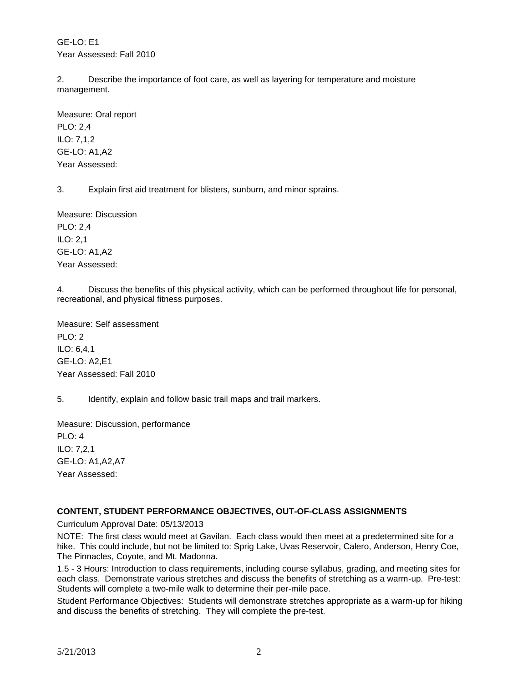GE-LO: E1 Year Assessed: Fall 2010

2. Describe the importance of foot care, as well as layering for temperature and moisture management.

Measure: Oral report PLO: 2,4 ILO: 7,1,2 GE-LO: A1,A2 Year Assessed:

3. Explain first aid treatment for blisters, sunburn, and minor sprains.

Measure: Discussion PLO: 2,4 ILO: 2,1 GE-LO: A1,A2 Year Assessed:

4. Discuss the benefits of this physical activity, which can be performed throughout life for personal, recreational, and physical fitness purposes.

Measure: Self assessment PLO: 2 ILO: 6,4,1 GE-LO: A2,E1 Year Assessed: Fall 2010

5. Identify, explain and follow basic trail maps and trail markers.

Measure: Discussion, performance PLO: 4 ILO: 7,2,1 GE-LO: A1,A2,A7 Year Assessed:

## **CONTENT, STUDENT PERFORMANCE OBJECTIVES, OUT-OF-CLASS ASSIGNMENTS**

Curriculum Approval Date: 05/13/2013

NOTE: The first class would meet at Gavilan. Each class would then meet at a predetermined site for a hike. This could include, but not be limited to: Sprig Lake, Uvas Reservoir, Calero, Anderson, Henry Coe, The Pinnacles, Coyote, and Mt. Madonna.

1.5 - 3 Hours: Introduction to class requirements, including course syllabus, grading, and meeting sites for each class. Demonstrate various stretches and discuss the benefits of stretching as a warm-up. Pre-test: Students will complete a two-mile walk to determine their per-mile pace.

Student Performance Objectives: Students will demonstrate stretches appropriate as a warm-up for hiking and discuss the benefits of stretching. They will complete the pre-test.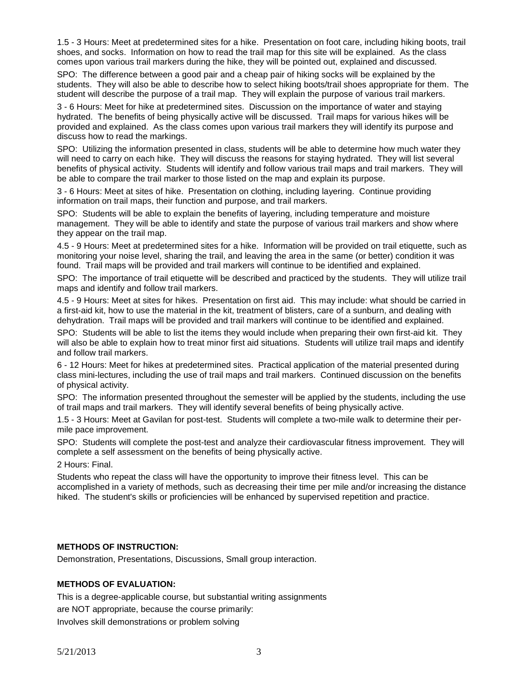1.5 - 3 Hours: Meet at predetermined sites for a hike. Presentation on foot care, including hiking boots, trail shoes, and socks. Information on how to read the trail map for this site will be explained. As the class comes upon various trail markers during the hike, they will be pointed out, explained and discussed.

SPO: The difference between a good pair and a cheap pair of hiking socks will be explained by the students. They will also be able to describe how to select hiking boots/trail shoes appropriate for them. The student will describe the purpose of a trail map. They will explain the purpose of various trail markers.

3 - 6 Hours: Meet for hike at predetermined sites. Discussion on the importance of water and staying hydrated. The benefits of being physically active will be discussed. Trail maps for various hikes will be provided and explained. As the class comes upon various trail markers they will identify its purpose and discuss how to read the markings.

SPO: Utilizing the information presented in class, students will be able to determine how much water they will need to carry on each hike. They will discuss the reasons for staying hydrated. They will list several benefits of physical activity. Students will identify and follow various trail maps and trail markers. They will be able to compare the trail marker to those listed on the map and explain its purpose.

3 - 6 Hours: Meet at sites of hike. Presentation on clothing, including layering. Continue providing information on trail maps, their function and purpose, and trail markers.

SPO: Students will be able to explain the benefits of layering, including temperature and moisture management. They will be able to identify and state the purpose of various trail markers and show where they appear on the trail map.

4.5 - 9 Hours: Meet at predetermined sites for a hike. Information will be provided on trail etiquette, such as monitoring your noise level, sharing the trail, and leaving the area in the same (or better) condition it was found. Trail maps will be provided and trail markers will continue to be identified and explained.

SPO: The importance of trail etiquette will be described and practiced by the students. They will utilize trail maps and identify and follow trail markers.

4.5 - 9 Hours: Meet at sites for hikes. Presentation on first aid. This may include: what should be carried in a first-aid kit, how to use the material in the kit, treatment of blisters, care of a sunburn, and dealing with dehydration. Trail maps will be provided and trail markers will continue to be identified and explained.

SPO: Students will be able to list the items they would include when preparing their own first-aid kit. They will also be able to explain how to treat minor first aid situations. Students will utilize trail maps and identify and follow trail markers.

6 - 12 Hours: Meet for hikes at predetermined sites. Practical application of the material presented during class mini-lectures, including the use of trail maps and trail markers. Continued discussion on the benefits of physical activity.

SPO: The information presented throughout the semester will be applied by the students, including the use of trail maps and trail markers. They will identify several benefits of being physically active.

1.5 - 3 Hours: Meet at Gavilan for post-test. Students will complete a two-mile walk to determine their permile pace improvement.

SPO: Students will complete the post-test and analyze their cardiovascular fitness improvement. They will complete a self assessment on the benefits of being physically active.

2 Hours: Final.

Students who repeat the class will have the opportunity to improve their fitness level. This can be accomplished in a variety of methods, such as decreasing their time per mile and/or increasing the distance hiked. The student's skills or proficiencies will be enhanced by supervised repetition and practice.

#### **METHODS OF INSTRUCTION:**

Demonstration, Presentations, Discussions, Small group interaction.

#### **METHODS OF EVALUATION:**

This is a degree-applicable course, but substantial writing assignments are NOT appropriate, because the course primarily: Involves skill demonstrations or problem solving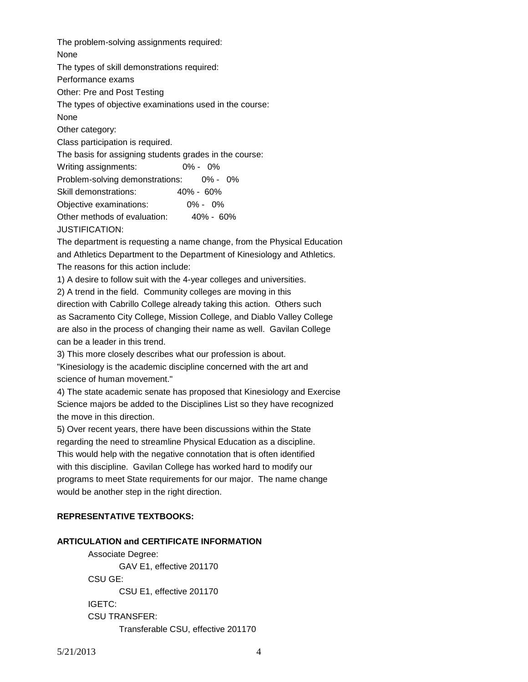The problem-solving assignments required: None The types of skill demonstrations required: Performance exams Other: Pre and Post Testing The types of objective examinations used in the course: None Other category: Class participation is required. The basis for assigning students grades in the course: Writing assignments: 0% - 0% Problem-solving demonstrations: 0% - 0% Skill demonstrations: 40% - 60% Objective examinations: 0% - 0% Other methods of evaluation: 40% - 60% JUSTIFICATION:

The department is requesting a name change, from the Physical Education and Athletics Department to the Department of Kinesiology and Athletics. The reasons for this action include:

1) A desire to follow suit with the 4-year colleges and universities.

2) A trend in the field. Community colleges are moving in this

direction with Cabrillo College already taking this action. Others such as Sacramento City College, Mission College, and Diablo Valley College are also in the process of changing their name as well. Gavilan College can be a leader in this trend.

3) This more closely describes what our profession is about.

"Kinesiology is the academic discipline concerned with the art and science of human movement."

4) The state academic senate has proposed that Kinesiology and Exercise Science majors be added to the Disciplines List so they have recognized the move in this direction.

5) Over recent years, there have been discussions within the State regarding the need to streamline Physical Education as a discipline. This would help with the negative connotation that is often identified with this discipline. Gavilan College has worked hard to modify our programs to meet State requirements for our major. The name change would be another step in the right direction.

#### **REPRESENTATIVE TEXTBOOKS:**

#### **ARTICULATION and CERTIFICATE INFORMATION**

Associate Degree: GAV E1, effective 201170 CSU GE: CSU E1, effective 201170 IGETC: CSU TRANSFER: Transferable CSU, effective 201170